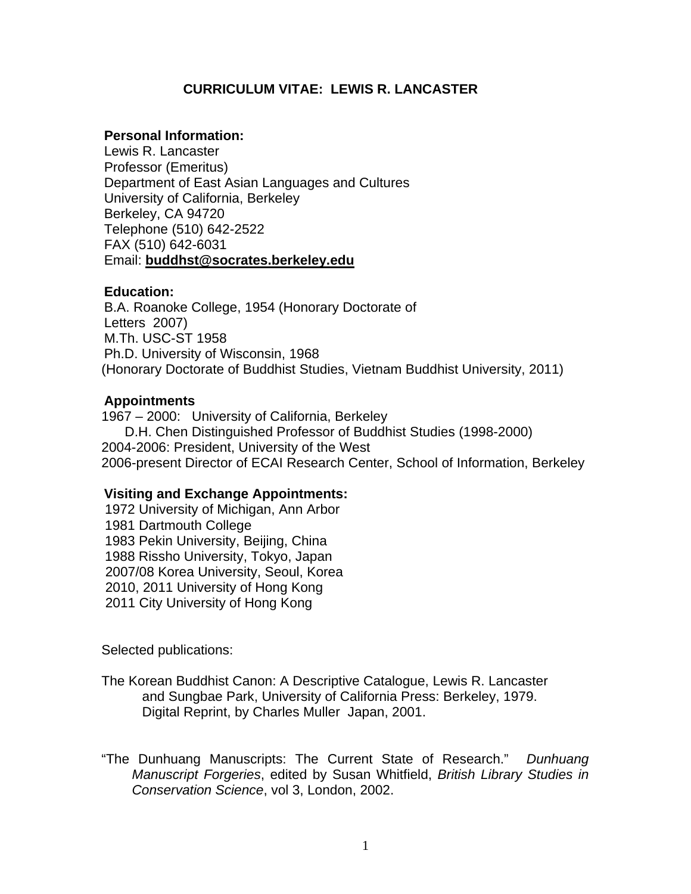# **CURRICULUM VITAE: LEWIS R. LANCASTER**

#### **Personal Information:**

Lewis R. Lancaster Professor (Emeritus) Department of East Asian Languages and Cultures University of California, Berkeley Berkeley, CA 94720 Telephone (510) 642-2522 FAX (510) 642-6031 Email: **buddhst@socrates.berkeley.edu**

### **Education:**

B.A. Roanoke College, 1954 (Honorary Doctorate of Letters 2007) M.Th. USC-ST 1958 Ph.D. University of Wisconsin, 1968 (Honorary Doctorate of Buddhist Studies, Vietnam Buddhist University, 2011)

### **Appointments**

1967 – 2000: University of California, Berkeley D.H. Chen Distinguished Professor of Buddhist Studies (1998-2000) 2004-2006: President, University of the West 2006-present Director of ECAI Research Center, School of Information, Berkeley

## **Visiting and Exchange Appointments:**

1972 University of Michigan, Ann Arbor 1981 Dartmouth College 1983 Pekin University, Beijing, China 1988 Rissho University, Tokyo, Japan 2007/08 Korea University, Seoul, Korea 2010, 2011 University of Hong Kong 2011 City University of Hong Kong

Selected publications:

The Korean Buddhist Canon: A Descriptive Catalogue, Lewis R. Lancaster and Sungbae Park, University of California Press: Berkeley, 1979. Digital Reprint, by Charles Muller Japan, 2001.

"The Dunhuang Manuscripts: The Current State of Research." *Dunhuang Manuscript Forgeries*, edited by Susan Whitfield, *British Library Studies in Conservation Science*, vol 3, London, 2002.